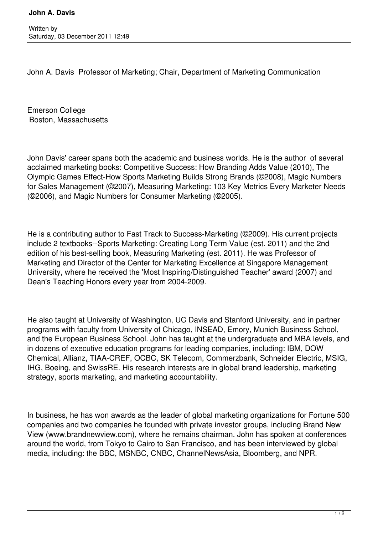John A. Davis Professor of Marketing; Chair, Department of Marketing Communication

Emerson College Boston, Massachusetts

John Davis' career spans both the academic and business worlds. He is the author of several acclaimed marketing books: Competitive Success: How Branding Adds Value (2010), The Olympic Games Effect-How Sports Marketing Builds Strong Brands (©2008), Magic Numbers for Sales Management (©2007), Measuring Marketing: 103 Key Metrics Every Marketer Needs (©2006), and Magic Numbers for Consumer Marketing (©2005).

He is a contributing author to Fast Track to Success-Marketing (©2009). His current projects include 2 textbooks--Sports Marketing: Creating Long Term Value (est. 2011) and the 2nd edition of his best-selling book, Measuring Marketing (est. 2011). He was Professor of Marketing and Director of the Center for Marketing Excellence at Singapore Management University, where he received the 'Most Inspiring/Distinguished Teacher' award (2007) and Dean's Teaching Honors every year from 2004-2009.

He also taught at University of Washington, UC Davis and Stanford University, and in partner programs with faculty from University of Chicago, INSEAD, Emory, Munich Business School, and the European Business School. John has taught at the undergraduate and MBA levels, and in dozens of executive education programs for leading companies, including: IBM, DOW Chemical, Allianz, TIAA-CREF, OCBC, SK Telecom, Commerzbank, Schneider Electric, MSIG, IHG, Boeing, and SwissRE. His research interests are in global brand leadership, marketing strategy, sports marketing, and marketing accountability.

In business, he has won awards as the leader of global marketing organizations for Fortune 500 companies and two companies he founded with private investor groups, including Brand New View (www.brandnewview.com), where he remains chairman. John has spoken at conferences around the world, from Tokyo to Cairo to San Francisco, and has been interviewed by global media, including: the BBC, MSNBC, CNBC, ChannelNewsAsia, Bloomberg, and NPR.